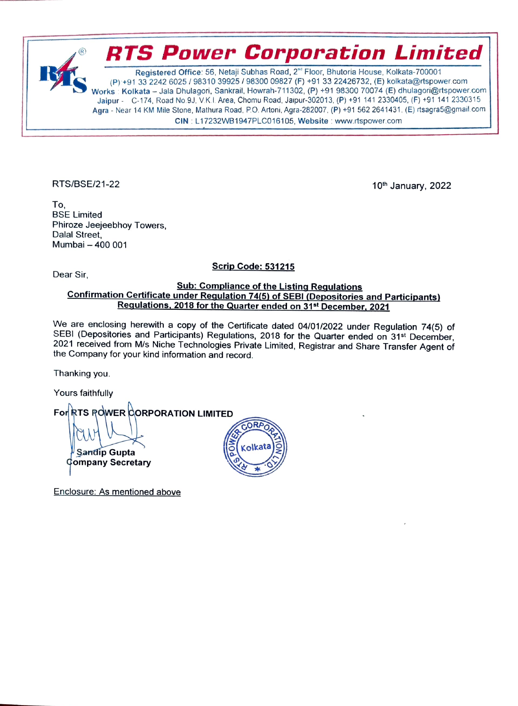Registered Office: 56, Netaji Subhas Road, 2<sup>nd</sup> Floor, Bhutoria House, Kolkata-700001 (P) +91 33 2242 6025/98310 39925 / 98300 09827 (F) +91 33 22426732, (E) kolkata@rtspower.com Works Kolkata -Jala Dhulagori, Sankrail, Howrah-711302, (P) +91 98300 70074 (E) dhulagori@rtspower.com Jaipur - C-174, Road No.9J, V.K.I. Area, Chomu Road, Jaipur-302013, (P) +91 141 2330405, (F) +91 141 2330315 Agra - Near 14 KM Mile Stone, Mathura Road, P.O. Artoni, Agra-282007, (P) +91 562 2641431. (E) rtsagra5@gmail.com CIN: L17232WB1947PLC016105, Website: www.rtspower.com

RTS Power Corporation Limited

RTS/BSE/21-22 10th January, 2022

To. BSE Limited Phiroze Jeejeebhoy Towers, Dalal Street, Mumbai-400 001

Scrip Code: 531215 Dear Sir

## Sub: Compliance of the Listing Regulations<br>Confirmation Certificate under Regulation 74(5) of SEBI (Depositories and Participants) Requlations, 2018 for the Quarter ended on 31<sup>st</sup> December, 2021

We are enclosing herewith a copy of the Certificate dated 04/01/2022 under Regulation 74(5) of SEBI (Depositories and Participants) Regulations, 2018 for the Quarter ended on 31<sup>st</sup> December, 2021 received from M/s Niche Technologies Private Limited, Registrar and Share Transfer Agent of the Company for your kind information and record.

Thanking you.

Yours faithfully

For RTS ROWER CORPORATION LIMITED <sup>ll</sup> Sandip Gupta<br><sup>G</sup>ompany Secretary

Enclosure: As mentioned above